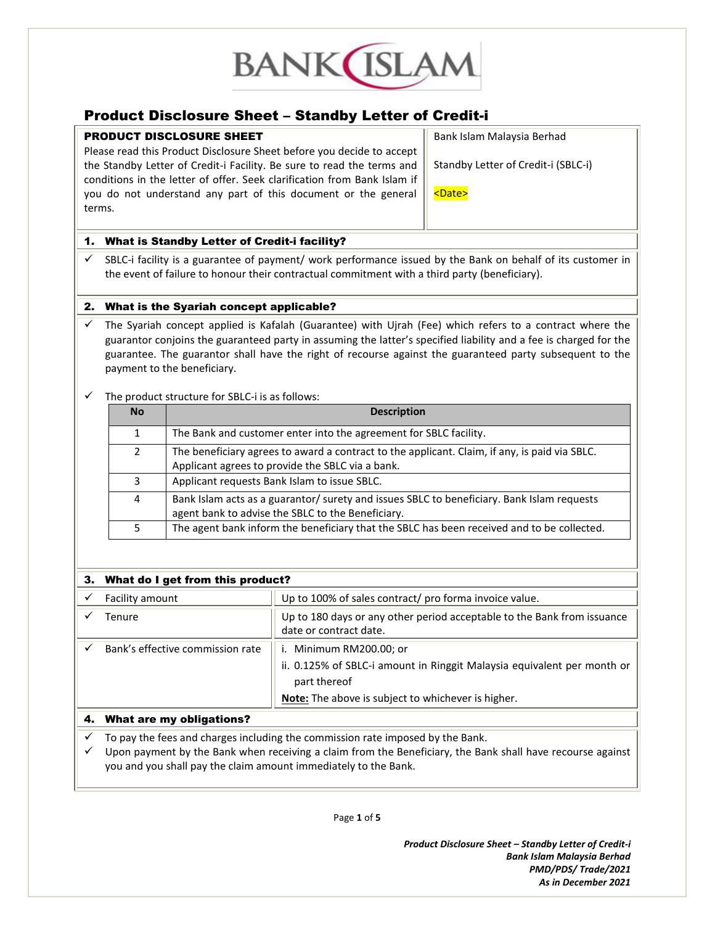

## Product Disclosure Sheet – Standby Letter of Credit-i

## PRODUCT DISCLOSURE SHEET

Please read this Product Disclosure Sheet before you decide to accept the Standby Letter of Credit-i Facility. Be sure to read the terms and conditions in the letter of offer. Seek clarification from Bank Islam if you do not understand any part of this document or the general terms.

Bank Islam Malaysia Berhad

Standby Letter of Credit-i (SBLC-i)

<Date>

## 1. What is Standby Letter of Credit-i facility?

 $\checkmark$  SBLC-i facility is a guarantee of payment/ work performance issued by the Bank on behalf of its customer in the event of failure to honour their contractual commitment with a third party (beneficiary).

## 2. What is the Syariah concept applicable?

 $\checkmark$  The Syariah concept applied is Kafalah (Guarantee) with Ujrah (Fee) which refers to a contract where the guarantor conjoins the guaranteed party in assuming the latter's specified liability and a fee is charged for the guarantee. The guarantor shall have the right of recourse against the guaranteed party subsequent to the payment to the beneficiary.

## The product structure for SBLC-i is as follows:

| <b>No</b> | <b>Description</b>                                                                                                                                |
|-----------|---------------------------------------------------------------------------------------------------------------------------------------------------|
| 1         | The Bank and customer enter into the agreement for SBLC facility.                                                                                 |
| 2         | The beneficiary agrees to award a contract to the applicant. Claim, if any, is paid via SBLC.<br>Applicant agrees to provide the SBLC via a bank. |
| 3         | Applicant requests Bank Islam to issue SBLC.                                                                                                      |
| 4         | Bank Islam acts as a guarantor/ surety and issues SBLC to beneficiary. Bank Islam requests<br>agent bank to advise the SBLC to the Beneficiary.   |
| 5         | The agent bank inform the beneficiary that the SBLC has been received and to be collected.                                                        |

| 3. What do I get from this product? |                                                                                                                                                                          |  |
|-------------------------------------|--------------------------------------------------------------------------------------------------------------------------------------------------------------------------|--|
| Facility amount                     | Up to 100% of sales contract/ pro forma invoice value.                                                                                                                   |  |
| <b>Tenure</b>                       | Up to 180 days or any other period acceptable to the Bank from issuance<br>date or contract date.                                                                        |  |
| Bank's effective commission rate    | i. Minimum RM200.00; or<br>ii. 0.125% of SBLC-i amount in Ringgit Malaysia equivalent per month or<br>part thereof<br>Note: The above is subject to whichever is higher. |  |
| <b>What are my obligations?</b>     |                                                                                                                                                                          |  |

## To pay the fees and charges including the commission rate imposed by the Bank.

 Upon payment by the Bank when receiving a claim from the Beneficiary, the Bank shall have recourse against you and you shall pay the claim amount immediately to the Bank.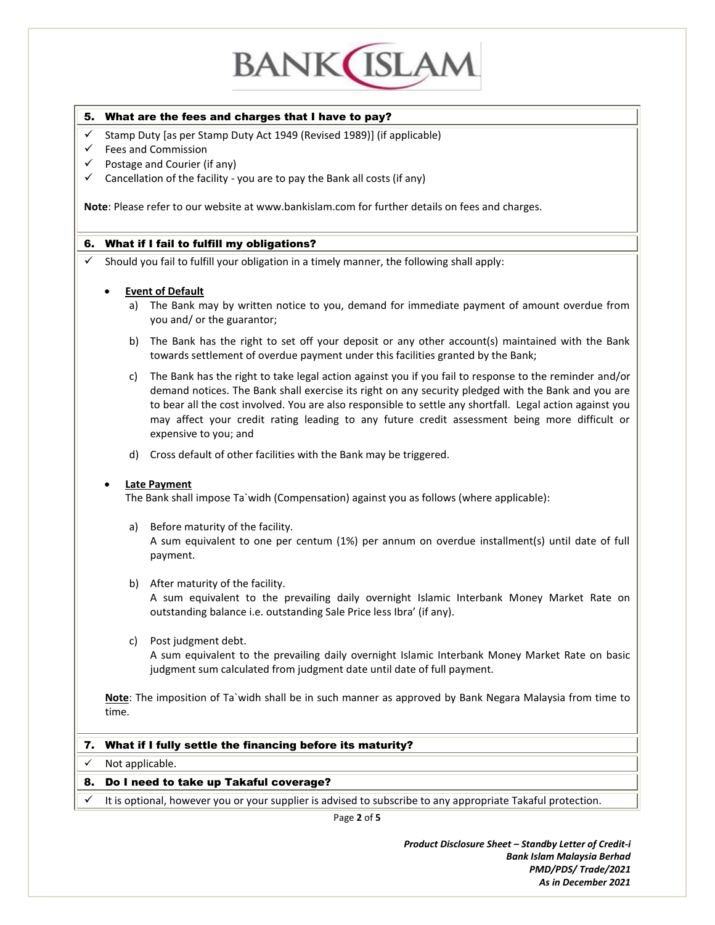

#### 5. What are the fees and charges that I have to pay?

- $\checkmark$  Stamp Duty [as per Stamp Duty Act 1949 (Revised 1989)] (if applicable)
- $\checkmark$  Fees and Commission
- $\checkmark$  Postage and Courier (if any)
- $\checkmark$  Cancellation of the facility you are to pay the Bank all costs (if any)

**Note**: Please refer to our website at www.bankislam.com for further details on fees and charges.

#### 6. What if I fail to fulfill my obligations?

 $\checkmark$  Should you fail to fulfill your obligation in a timely manner, the following shall apply:

#### **Event of Default**

- a) The Bank may by written notice to you, demand for immediate payment of amount overdue from you and/ or the guarantor;
- b) The Bank has the right to set off your deposit or any other account(s) maintained with the Bank towards settlement of overdue payment under this facilities granted by the Bank;
- c) The Bank has the right to take legal action against you if you fail to response to the reminder and/or demand notices. The Bank shall exercise its right on any security pledged with the Bank and you are to bear all the cost involved. You are also responsible to settle any shortfall. Legal action against you may affect your credit rating leading to any future credit assessment being more difficult or expensive to you; and
- d) Cross default of other facilities with the Bank may be triggered.

#### **Late Payment**

The Bank shall impose Ta`widh (Compensation) against you as follows (where applicable):

- a) Before maturity of the facility. A sum equivalent to one per centum (1%) per annum on overdue installment(s) until date of full payment.
- b) After maturity of the facility.

A sum equivalent to the prevailing daily overnight Islamic Interbank Money Market Rate on outstanding balance i.e. outstanding Sale Price less Ibra' (if any).

c) Post judgment debt.

A sum equivalent to the prevailing daily overnight Islamic Interbank Money Market Rate on basic judgment sum calculated from judgment date until date of full payment.

**Note**: The imposition of Ta`widh shall be in such manner as approved by Bank Negara Malaysia from time to time.

#### 7. What if I fully settle the financing before its maturity?

 $\checkmark$  Not applicable.

#### 8. Do I need to take up Takaful coverage?

It is optional, however you or your supplier is advised to subscribe to any appropriate Takaful protection.

Page **2** of **5**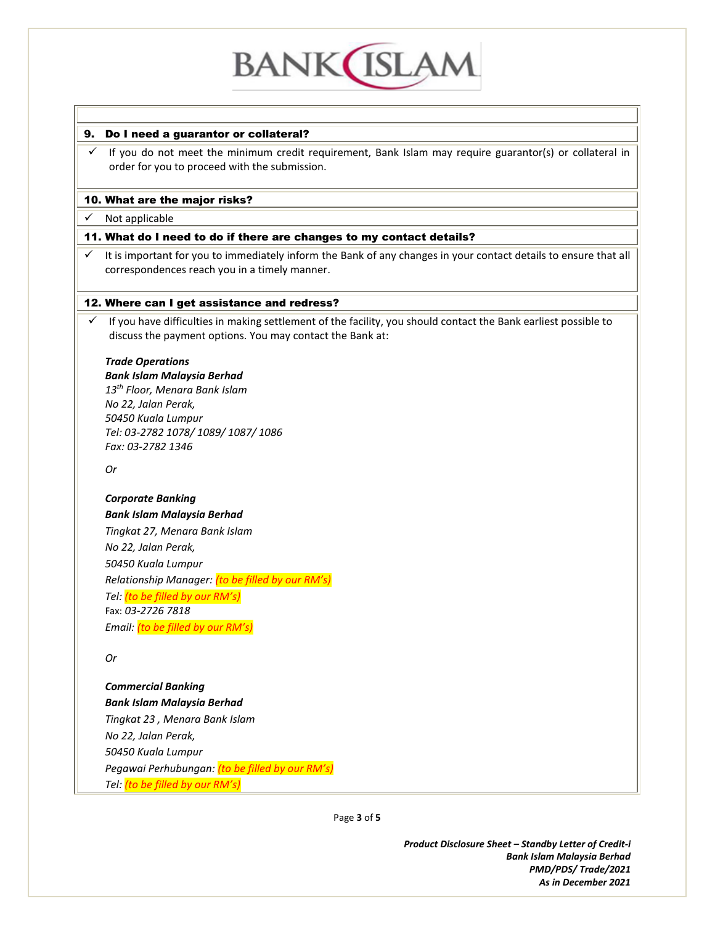## **BANK ISLAN**

## 9. Do I need a guarantor or collateral?

 $\checkmark$  If you do not meet the minimum credit requirement, Bank Islam may require guarantor(s) or collateral in order for you to proceed with the submission.

## 10. What are the major risks?

## $\checkmark$  Not applicable

## 11. What do I need to do if there are changes to my contact details?

 $\checkmark$  It is important for you to immediately inform the Bank of any changes in your contact details to ensure that all correspondences reach you in a timely manner.

## 12. Where can I get assistance and redress?

 $\checkmark$  If you have difficulties in making settlement of the facility, you should contact the Bank earliest possible to discuss the payment options. You may contact the Bank at:

#### *Trade Operations*

*Bank Islam Malaysia Berhad 13th Floor, Menara Bank Islam No 22, Jalan Perak, 50450 Kuala Lumpur Tel: 03-2782 1078/ 1089/ 1087/ 1086 Fax: 03-2782 1346*

*Or*

#### *Corporate Banking*

*Bank Islam Malaysia Berhad Tingkat 27, Menara Bank Islam No 22, Jalan Perak, 50450 Kuala Lumpur Relationship Manager: (to be filled by our RM's) Tel: (to be filled by our RM's)* Fax: *03-2726 7818 Email: (to be filled by our RM's)*

*Or*

*Commercial Banking Bank Islam Malaysia Berhad Tingkat 23 , Menara Bank Islam No 22, Jalan Perak, 50450 Kuala Lumpur Pegawai Perhubungan: (to be filled by our RM's) Tel: (to be filled by our RM's)*

Page **3** of **5**

*Product Disclosure Sheet – Standby Letter of Credit-i Bank Islam Malaysia Berhad PMD/PDS/ Trade/2021 As in December 2021*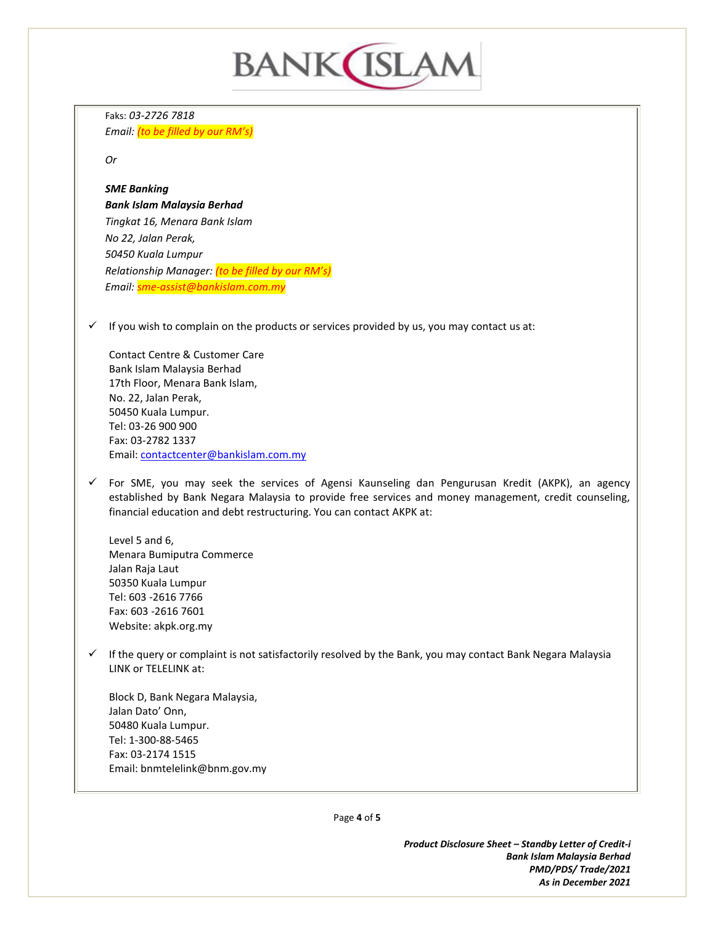## **BANK**(ISLAM

Faks: *03-2726 7818 Email: (to be filled by our RM's)*

*Or*

### *SME Banking*

*Bank Islam Malaysia Berhad Tingkat 16, Menara Bank Islam No 22, Jalan Perak, 50450 Kuala Lumpur Relationship Manager: (to be filled by our RM's) Email: sme-assist@bankislam.com.my*

 $\checkmark$  If you wish to complain on the products or services provided by us, you may contact us at:

Contact Centre & Customer Care Bank Islam Malaysia Berhad 17th Floor, Menara Bank Islam, No. 22, Jalan Perak, 50450 Kuala Lumpur. Tel: 03-26 900 900 Fax: 03-2782 1337 Email[: contactcenter@bankislam.com.my](mailto:contactcenter@bankislam.com.my)

 $\checkmark$  For SME, you may seek the services of Agensi Kaunseling dan Pengurusan Kredit (AKPK), an agency established by Bank Negara Malaysia to provide free services and money management, credit counseling, financial education and debt restructuring. You can contact AKPK at:

Level 5 and 6, Menara Bumiputra Commerce Jalan Raja Laut 50350 Kuala Lumpur Tel: 603 -2616 7766 Fax: 603 -2616 7601 Website: akpk.org.my

 $\checkmark$  If the query or complaint is not satisfactorily resolved by the Bank, you may contact Bank Negara Malaysia LINK or TELELINK at:

Block D, Bank Negara Malaysia, Jalan Dato' Onn, 50480 Kuala Lumpur. Tel: 1-300-88-5465 Fax: 03-2174 1515 Email[: bnmtelelink@bnm.gov.my](mailto:bnmtelelink@bnm.gov.my)

Page **4** of **5**

*Product Disclosure Sheet – Standby Letter of Credit-i Bank Islam Malaysia Berhad PMD/PDS/ Trade/2021 As in December 2021*